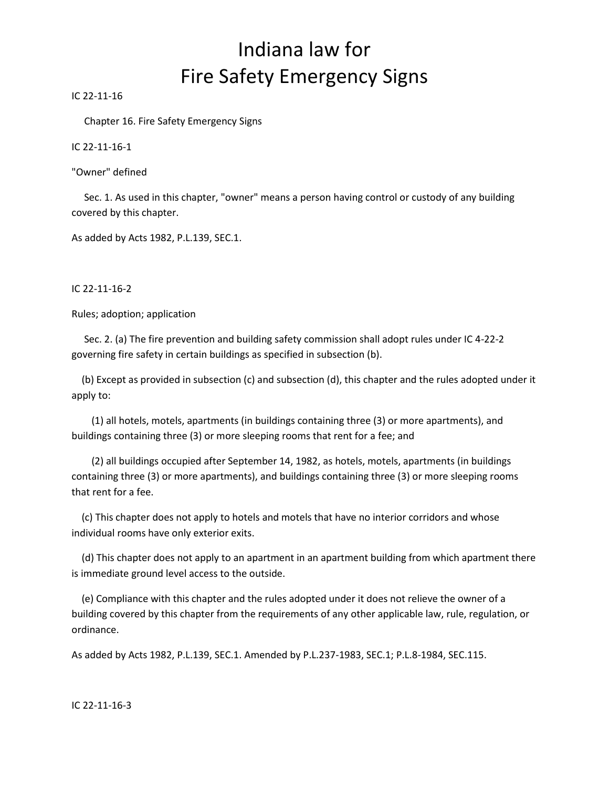### Indiana law for Fire Safety Emergency Signs

IC 22-11-16

Chapter 16. Fire Safety Emergency Signs

IC 22-11-16-1

"Owner" defined

 Sec. 1. As used in this chapter, "owner" means a person having control or custody of any building covered by this chapter.

As added by Acts 1982, P.L.139, SEC.1.

IC 22-11-16-2

Rules; adoption; application

 Sec. 2. (a) The fire prevention and building safety commission shall adopt rules under IC 4-22-2 governing fire safety in certain buildings as specified in subsection (b).

 (b) Except as provided in subsection (c) and subsection (d), this chapter and the rules adopted under it apply to:

 (1) all hotels, motels, apartments (in buildings containing three (3) or more apartments), and buildings containing three (3) or more sleeping rooms that rent for a fee; and

 (2) all buildings occupied after September 14, 1982, as hotels, motels, apartments (in buildings containing three (3) or more apartments), and buildings containing three (3) or more sleeping rooms that rent for a fee.

 (c) This chapter does not apply to hotels and motels that have no interior corridors and whose individual rooms have only exterior exits.

 (d) This chapter does not apply to an apartment in an apartment building from which apartment there is immediate ground level access to the outside.

 (e) Compliance with this chapter and the rules adopted under it does not relieve the owner of a building covered by this chapter from the requirements of any other applicable law, rule, regulation, or ordinance.

As added by Acts 1982, P.L.139, SEC.1. Amended by P.L.237-1983, SEC.1; P.L.8-1984, SEC.115.

IC 22-11-16-3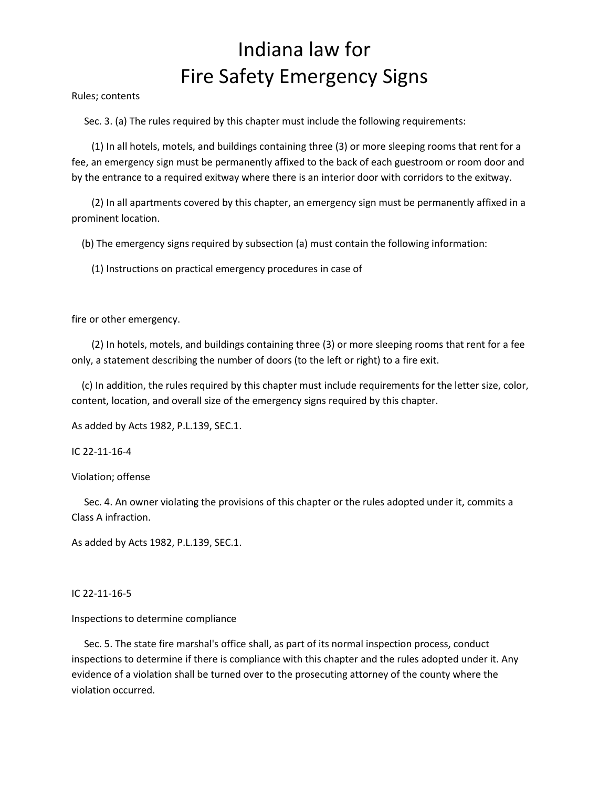## Indiana law for Fire Safety Emergency Signs

Rules; contents

Sec. 3. (a) The rules required by this chapter must include the following requirements:

 (1) In all hotels, motels, and buildings containing three (3) or more sleeping rooms that rent for a fee, an emergency sign must be permanently affixed to the back of each guestroom or room door and by the entrance to a required exitway where there is an interior door with corridors to the exitway.

 (2) In all apartments covered by this chapter, an emergency sign must be permanently affixed in a prominent location.

(b) The emergency signs required by subsection (a) must contain the following information:

(1) Instructions on practical emergency procedures in case of

fire or other emergency.

 (2) In hotels, motels, and buildings containing three (3) or more sleeping rooms that rent for a fee only, a statement describing the number of doors (to the left or right) to a fire exit.

 (c) In addition, the rules required by this chapter must include requirements for the letter size, color, content, location, and overall size of the emergency signs required by this chapter.

As added by Acts 1982, P.L.139, SEC.1.

IC 22-11-16-4

Violation; offense

 Sec. 4. An owner violating the provisions of this chapter or the rules adopted under it, commits a Class A infraction.

As added by Acts 1982, P.L.139, SEC.1.

#### IC 22-11-16-5

#### Inspections to determine compliance

 Sec. 5. The state fire marshal's office shall, as part of its normal inspection process, conduct inspections to determine if there is compliance with this chapter and the rules adopted under it. Any evidence of a violation shall be turned over to the prosecuting attorney of the county where the violation occurred.